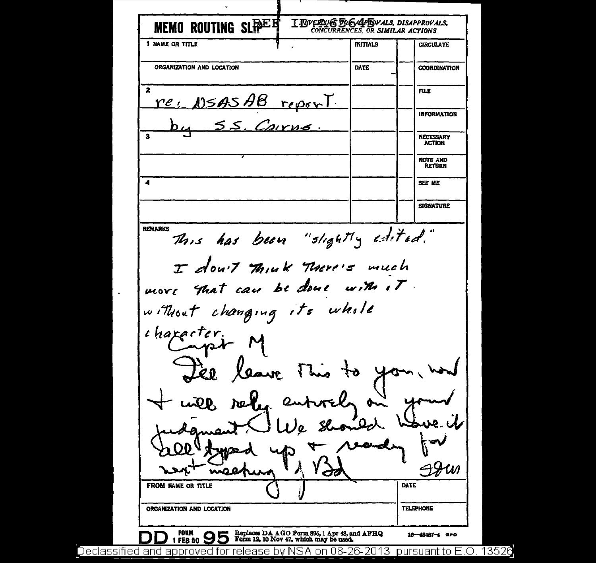MEMO ROUTING SLEPEET I DVERVE FOGAPROVALS, DISAPPROVALS, 1 NAME OR TITLE **INITIALS CIRCULATE** ORGANIZATION AND LOCATION DATE **COORDINATION**  $\overline{\mathbf{2}}$ FILE.  $re$ ,  $15ASAB$  report INFORMATION Cairne **NECESSARY ACTION NOTE AND** RETURN  $\overline{\mathbf{A}}$ **SEE NE SIGNATURE REMARKS** This has been "slightly edited." I don't Think There's much more that can be done  $ur\mathcal{M}$ ,  $\mathcal{T}$ . without changing its whole character. inge el leave This せつ  $Q_{\alpha\lambda}$  $\neg \mathcal{W}$ FROM NAME OR TITLE **DATE TELEPHONE** ORGANIZATION AND LOCATION **FORM** Replaces DA AGO Form 895, 1 Apr 48, and AFHQ<br>Form 12, 10 Nov 47, which may be used. 16-48487-4 GPO 1 FEB 50 Declassified and approved for release by NSA on 08-26-2013 pursuant to E.O. 13526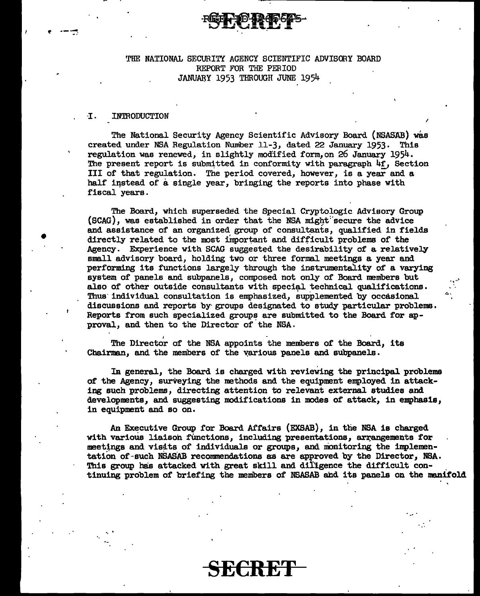## THF. NATIONAL SECURITY AGENCY SCIENTIFIC ADVISORY BOARD REPORT FOR THE PERIOD JANUARY 1953 THROUGH JUNE 1954

#### ·I. **INTRODUCTION**

• .. ·.

•

The National Security Agency Scientific Advisory Board (NSASAB) was created under NSA Regulation Number 11-3, dated 22 January 1953. This regulation was renewed, in slightly modified form,on 26 January 1954. The present report is submitted in conformity with paragraph  $4f$ , Section III of that regulation. The period covered, however, is a year and a half instead of a single year, bringing the reports into phase with fiscal years.

The Board, which superseded the Special Cryptologic Advisory Group (SCAG), was established in order that the NSA might secure the advice and assistance of an organized group of consultants, qualified in fields directly related to the most important and difficult problems of the Agency. Experience with SCAG suggested the desirability of a relatively small advisory board, holding two or three formal meetings a year and performing its functions largely through the instrumentality of a varying system of panels and subpanels, composed not only of Board members but also of other outside consultants with special technical qualifications. Thus individual consultation is emphasized, supplemented by occasional discussions and reports by· groups designated to study particular problems. Reports from such specialized groups are submitted to the Board for approval, and then to the Director of the NSA.

,, ....

.\_ ...

The Director of the NSA appoints the members of the Board, its Chairman, and the members of the various panels and subpanels.

In general, the Board is charged with reviewing the principal problems of the Agency, surveying the methods and the equipment employed in attacking such problems, directing attention to relevant external studies and developments, and suggesting modifications in modes of attack, in emphasis, in equipment and so on.

An Executive Group for Board Affairs (EXSAB), in the NSA is charged with various liaison functions, including presentations, arrangements for meetings and visits of individuals or groups, and monitoring the implementation of such NSASAB recommendations as are approved by the Director, NSA. This group has attacked with great skill and diligence the difficult continuing problem of briefing the members of NSASAB and its panels on the manifold

SE€RE'f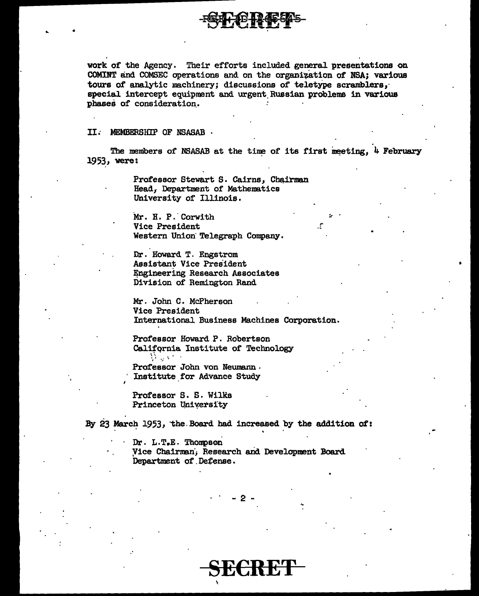work of the Agency. Their efforts included general presentations on COMINT and COMSEC operations and on the organization of NSA; various tours of analytic machinery; discussions of teletype scramblers, special intercept equipment and urgent Russian problems in various phases of consideration.

#### II. MEMBERSHIP OF NSASAB.

The members of NSASAB at the time of its first meeting, 4 February 1953, were:

> Professor Stewart S. Cairns, Chairman Head, Department of Mathematics University of Illinois.

Mr. H. P. Corwith Vice President Western Union Telegraph Company.

Dr. Howard T. Engstrom Assistant Vice President Engineering Research Associates Division of Remington Rand

Mr. John C. McPherson Vice President International Business Machines Corporation.

Professor Howard P. Robertson California Institute of Technology  $\mathcal{D}^{\text{max}}$ 

Professor John von Neumann. Institute for Advance Study

Professor S. S. Wilks Princeton University

By 23 March 1953, the Board had increased by the addition of:

 $Dr. L.T.E. Thompson$ Vice Chairman, Research and Development Board Department of Defense.

ren w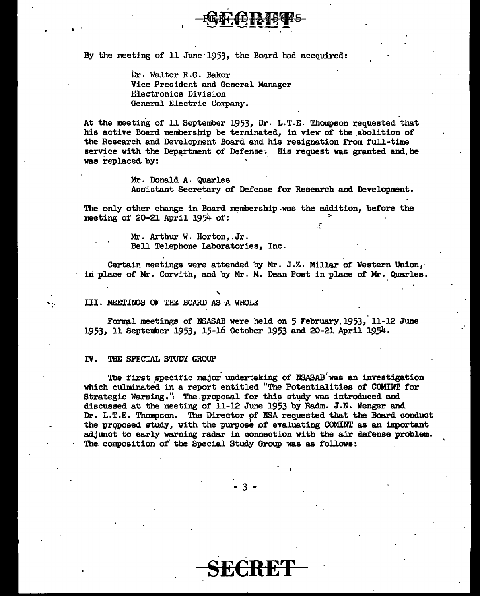

By the meeting of 11 June 1953, the Board had accquired:

Dr. Walter R.G. Baker Vice President and General Manager Electronics Division General Electric Company.

At the meeting of 11 September 1953, Dr. L.T.E. Thompson requested that his active Board membership be terminated, in view of the abolition of the Research and Development Board and his resignation from full-time service with the Department of Defense. His request was granted and he was replaced by:

> Mr. Donald A. Quarles Assistant Secretary of Defense for Research and Development.

The only other change in Board membership was the addition, before the meeting of 20-21 April 1954 of:

> Mr. Arthur w. Horton,.Jr. Bell Telephone Laboratories, Inc.

Certain meetings were attended by Mr. J.Z. Millar of Western Union, iri place of Mr. Corwith, and by Mr. M. Dean Post in place of Mr. Quarles.

# .<br>- TII. MEETINGS OF THE BOARD AS A WHOLE

Formal meetings of NSASAB were held on 5 February.1953, 11-12 June 1953, 11 September 1953, 15-16 October 1953 and 20-21 April 19.54.

#### IV. THE SPECIAL STUDY GROUP

.•

.. i .

The first specific major undertaking of NSASAB was an investigation which culminated in a report entitled "The Potentialities of COMINT for Strategic Warning." The proposal for this study was introduced and discussed at. the meeting of 11-12 June 1953 by Radm. J.N. Wenger and Dr. L.T.E. Thompson. The Director pf NSA requested that the Board conduct the proposed study, with the purpose of evaluating COMINT as an important a.d.Junct to early warning radar in connection with the air defense problem. The. composition of· the Special Study Group was as follows:

3 -

SECRET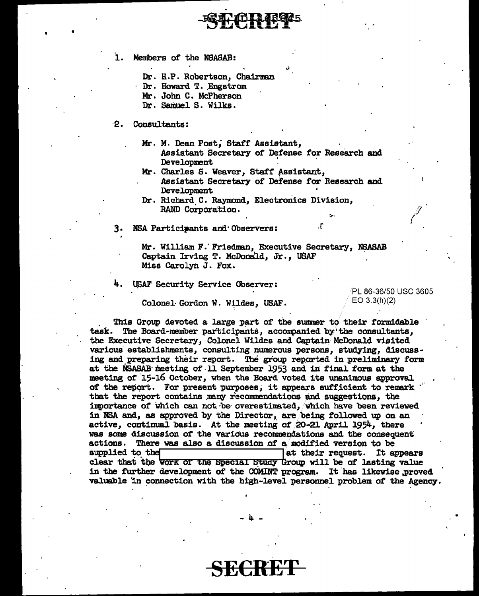ı. Members of the NSASAB:

Dr. H.P. Robertson, Chairman

Dr. Howard T. Engstrom

Mr. John C. McPherson

Dr. Samuel S. Wilks.

- $\mathbf{P}$ Consultants:
	- Mr. M. Dean Post, Staff Assistant, Assistant Secretary of Defense for Research and Development
	- Mr. Charles S. Weaver, Staff Assistant, Assistant Secretary of Defense for Research and
	- Development Dr. Richard C. Raymond, Electronics Division,

RAND Corporation.

3. NSA Participants and Observers:

> Mr. William F. Friedman, Executive Secretary, NSASAB Captain Irving T. McDonald, Jr., USAF Miss Carolyn J. Fox.

**4. USAF Security Service Observer:** 

PL 86-36/50 USC 3605 EO 3.3(h)(2)

Colonel Gordon W. Wildes, USAF.

This Group devoted a large part of the summer to their formidable task. The Board-member participants, accompanied by the consultants, the Executive Secretary, Colonel Wildes and Captain McDonald visited various establishments, consulting numerous persons, studying, discussing and preparing their report. The group reported in preliminary form at the NSASAB meeting of 11 September 1953 and in final form at the meeting of 15-16 October, when the Board voted its unanimous approval of the report. For present purposes, it appears sufficient to remark that the report contains many recommendations and suggestions, the importance of which can not be overestimated, which have been reviewed in NSA and, as approved by the Director, are being followed up on an active, continual basis. At the meeting of 20-21 April 1954, there was some discussion of the various recommendations and the consequent actions. There was also a discussion of a modified version to be supplied to the at their request. It appears clear that the work of the Special Study Group will be of lasting value in the further development of the COMINT program. It has likewise proved valuable in connection with the high-level personnel problem of the Agency.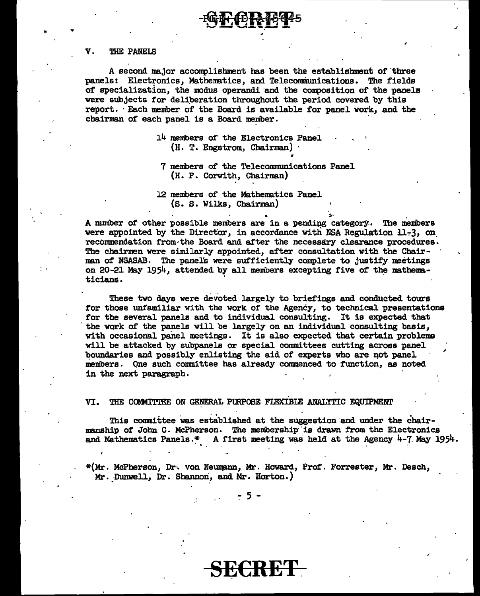#### V. THE PANELS

A second major accomplishment has been the establishment of"three panels: Electronics, Mathematics, and Telecommunications. The fields of specialization, the modus operandi and the composition of the panels were subjects for deliberation throughout the period covered by this report. · Each member of the Board is available for panel work, and the chairman of each panel is a Board member.

> 14 members of the Electronics Panel (H. T. Engstrom, Chairman) ·

" .. .. ,

7 members of the Telecommunications Panel  $(H. P.$  Corwith, Chairman)

r

J

12 members of the Mathematics Panel {s. s. Wilks, Chairman)

A number of other possible members are in a pending category. The members were appointed by the Director, in accordance with NSA Regulation  $11-3$ , on. recommendation from the Board and after the necessary clearance procedures. The chairmen were similarly appointed, after consultation with the Chairman of NSASAB. The panel's were sufficiently complete to justify meetings on 20-21 May 1954, attended by all members excepting five of the mathema-ticians. ticians.

These two days were devoted largely to briefings and conducted tours for those unfamiliar with the work of the Agency, to technical presentations for the several panels and to individual consulting. It is expected that the work of the panels will be largely on an individual consulting basis, with occasional panel meetings. It is also expected that certain problems will be attacked by subpanels or special committees cutting across panel boundaries and possibly enlisting the aid of experts who are not panel members • Qne such committee has already commenced to function, as noted in the next paragraph. ,

VI. THE COMMITTEE ON GENERAL PURPOSE FLEXIBLE ANALYTIC EQUIPMENT

This committee was established at the suggestion and under the chairmanship of John C. McPherson. The membership is drawn from the Electronics and Mathematics Panels.\* A first meeting was held at the Agency  $4-7$ . May 1954.

\*(Mr. McPherson, Dr. von Neumann, Mr. Howard, Prof. Forrester, Mr. Desch,  $Mr.$  Dunwell, Dr. Shannon, and Mr. Horton.)

SE€RET.

- 5 -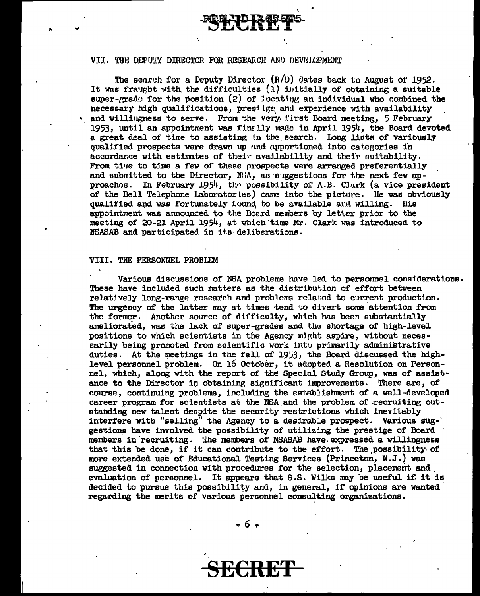VII. THE DEPUTY DIRECTOR FOR RESEARCH AND DEVELOPMENT

The search for a Deputy Director  $(R/D)$  dates back to August of 1952. It was fraught with the difficulties  $(1)$  initially of obtaining a suitable super-grade for the position  $(2)$  of locating an individual who combined the necessary high qualifications, prestige and experience with availability • and willingness to serve. From the very lirst Board meeting,  $5$  February 1953, until an appointment was finally made in April  $1954$ , the Board devoted a great deal of time to assisting in the search. Long lists of variously qualified prospects were drawn up und apportioned into categories in accordance with estimates of their availability and their suitability. From time to time a few of these prospects were arranged preferentially and submitted to the Director,  $N/\Lambda$ , as suggestions for the next few approaches. In February 1954, the possibility of A.B. Clark (a vice president of the Bell Telephone Laboratorles) came into the picture. He was obviously qualified and was fortunately found to be available and willing. His appointment was announced to the Board members by letter prior to the meeting of 20-21 April 1954, at which time Mr. Clark was introduced to NSASAB and participated in its deliberations.

#### VIII. THE PERSONNEL PROBLEM

Various discussions of NSA problems have led to personnel considerations. These have included such matters as the distribution of effort between relatively long-range research and problems related to current production. The urgency of the latter may at times tend to divert some attention from the former. Another source of difficulty, which has been substantially ameliorated, was the lack of super-grades and the shortage of high-level positions to which scientists in the Agency might aspire, without necessarily being promoted from scientific work into primarily administrative duties. At the meetings in the fall of 1953, the Board discussed the highlevel personnel problem. On 16 October, it adopted a Resolution on Personnel, which, along with the report of the Special Study Group, was of assistance to the Director in obtaining significant improvements. There are, of course, continuing problems, including the establishment of a well-developed career program for scientists at the NSA and the problem of recruiting outstanding new talent despite the security restrictions which inevitably interfere with "selling" the Agency to a desirable prospect. Various sug-' gestions have involved the possibility of utilizing the prestige of Board members in recruiting. The members of NSASAB have expressed a willingness that this be done, if it can contribute to the effort. The possibility of more extended use of Educational Testing Services (Princeton, N.J.) was suggested in connection with procedures for the selection, placement and evaluation of personnel. It appears that S.S. Wilks may be useful if it is decided to pursue this possibility and, in general, if opinions are wanted regarding the merits of various personnel consulting organizations.

- 6 -